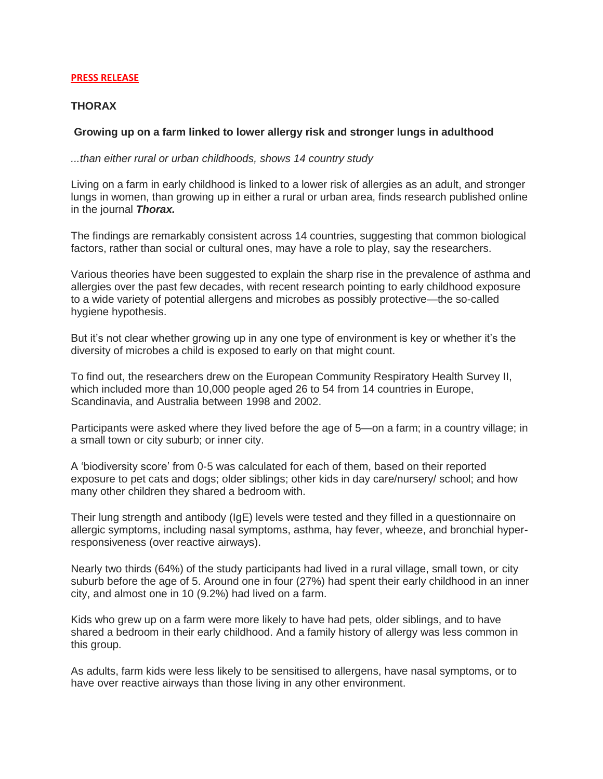#### **PRESS RELEASE**

# **THORAX**

# **Growing up on a farm linked to lower allergy risk and stronger lungs in adulthood**

*...than either rural or urban childhoods, shows 14 country study*

Living on a farm in early childhood is linked to a lower risk of allergies as an adult, and stronger lungs in women, than growing up in either a rural or urban area, finds research published online in the journal *Thorax.*

The findings are remarkably consistent across 14 countries, suggesting that common biological factors, rather than social or cultural ones, may have a role to play, say the researchers.

Various theories have been suggested to explain the sharp rise in the prevalence of asthma and allergies over the past few decades, with recent research pointing to early childhood exposure to a wide variety of potential allergens and microbes as possibly protective—the so-called hygiene hypothesis.

But it's not clear whether growing up in any one type of environment is key or whether it's the diversity of microbes a child is exposed to early on that might count.

To find out, the researchers drew on the European Community Respiratory Health Survey II, which included more than 10,000 people aged 26 to 54 from 14 countries in Europe, Scandinavia, and Australia between 1998 and 2002.

Participants were asked where they lived before the age of 5—on a farm; in a country village; in a small town or city suburb; or inner city.

A 'biodiversity score' from 0-5 was calculated for each of them, based on their reported exposure to pet cats and dogs; older siblings; other kids in day care/nursery/ school; and how many other children they shared a bedroom with.

Their lung strength and antibody (IgE) levels were tested and they filled in a questionnaire on allergic symptoms, including nasal symptoms, asthma, hay fever, wheeze, and bronchial hyperresponsiveness (over reactive airways).

Nearly two thirds (64%) of the study participants had lived in a rural village, small town, or city suburb before the age of 5. Around one in four (27%) had spent their early childhood in an inner city, and almost one in 10 (9.2%) had lived on a farm.

Kids who grew up on a farm were more likely to have had pets, older siblings, and to have shared a bedroom in their early childhood. And a family history of allergy was less common in this group.

As adults, farm kids were less likely to be sensitised to allergens, have nasal symptoms, or to have over reactive airways than those living in any other environment.